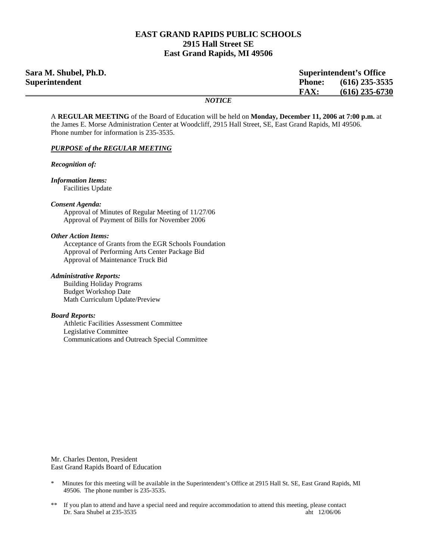#### **EAST GRAND RAPIDS PUBLIC SCHOOLS 2915 Hall Street SE East Grand Rapids, MI 49506**

| Sara M. Shubel, Ph.D.<br><b>Superintendent's Office</b> |               |                  |
|---------------------------------------------------------|---------------|------------------|
| <b>Superintendent</b>                                   | <b>Phone:</b> | $(616)$ 235-3535 |
|                                                         | FAX:          | $(616)$ 235-6730 |
|                                                         | <b>NOTICE</b> |                  |

A **REGULAR MEETING** of the Board of Education will be held on **Monday, December 11, 2006 at 7:00 p.m.** at the James E. Morse Administration Center at Woodcliff, 2915 Hall Street, SE, East Grand Rapids, MI 49506. Phone number for information is 235-3535.

#### *PURPOSE of the REGULAR MEETING*

*Recognition of:* 

*Information Items:* Facilities Update

*Consent Agenda:* 

 Approval of Minutes of Regular Meeting of 11/27/06 Approval of Payment of Bills for November 2006

#### *Other Action Items:*

 Acceptance of Grants from the EGR Schools Foundation Approval of Performing Arts Center Package Bid Approval of Maintenance Truck Bid

#### *Administrative Reports:*

Building Holiday Programs Budget Workshop Date Math Curriculum Update/Preview

#### *Board Reports:*

Athletic Facilities Assessment Committee Legislative Committee Communications and Outreach Special Committee

Mr. Charles Denton, President East Grand Rapids Board of Education

- \* Minutes for this meeting will be available in the Superintendent's Office at 2915 Hall St. SE, East Grand Rapids, MI 49506. The phone number is 235-3535.
- \*\* If you plan to attend and have a special need and require accommodation to attend this meeting, please contact Dr. Sara Shubel at 235-3535 aht 12/06/06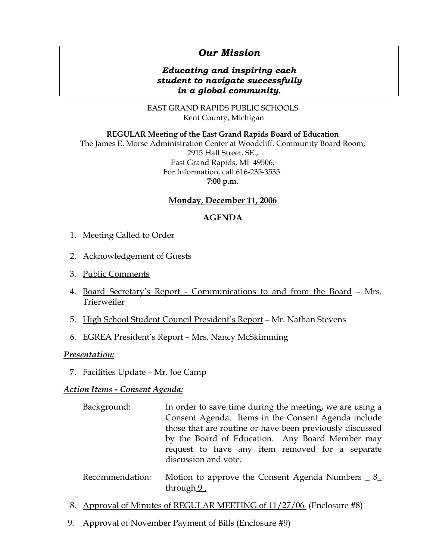# *Our Mission*

# *Educating and inspiring each student to navigate successfully in a global community.*

EAST GRAND RAPIDS PUBLIC SCHOOLS Kent County, Michigan

#### **REGULAR Meeting of the East Grand Rapids Board of Education**

The James E. Morse Administration Center at Woodcliff, Community Board Room, 2915 Hall Street, SE., East Grand Rapids, MI 49506. For Information, call 616-235-3535. **7:00 p.m.**

### **Monday, December 11, 2006**

### **AGENDA**

- 1. Meeting Called to Order
- 2. Acknowledgement of Guests
- 3. Public Comments
- 4. Board Secretary's Report Communications to and from the Board Mrs. Trierweiler
- 5. High School Student Council President's Report Mr. Nathan Stevens
- 6. EGREA President's Report Mrs. Nancy McSkimming

### *Presentation:*

7. Facilities Update – Mr. Joe Camp

### *Action Items - Consent Agenda:*

- Background: In order to save time during the meeting, we are using a Consent Agenda. Items in the Consent Agenda include those that are routine or have been previously discussed by the Board of Education. Any Board Member may request to have any item removed for a separate discussion and vote.
- Recommendation: Motion to approve the Consent Agenda Numbers 8 through 9.
- 8. Approval of Minutes of REGULAR MEETING of 11/27/06 (Enclosure #8)
- 9. Approval of November Payment of Bills (Enclosure #9)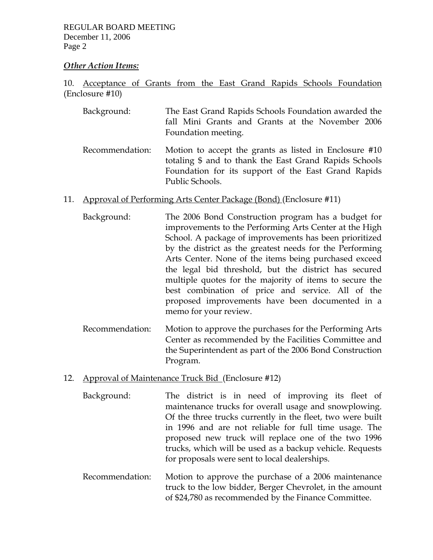REGULAR BOARD MEETING December 11, 2006 Page 2

### *Other Action Items:*

10. Acceptance of Grants from the East Grand Rapids Schools Foundation (Enclosure #10)

- Background: The East Grand Rapids Schools Foundation awarded the fall Mini Grants and Grants at the November 2006 Foundation meeting.
- Recommendation: Motion to accept the grants as listed in Enclosure #10 totaling \$ and to thank the East Grand Rapids Schools Foundation for its support of the East Grand Rapids Public Schools.
- 11. Approval of Performing Arts Center Package (Bond) (Enclosure #11)
	- Background: The 2006 Bond Construction program has a budget for improvements to the Performing Arts Center at the High School. A package of improvements has been prioritized by the district as the greatest needs for the Performing Arts Center. None of the items being purchased exceed the legal bid threshold, but the district has secured multiple quotes for the majority of items to secure the best combination of price and service. All of the proposed improvements have been documented in a memo for your review.
	- Recommendation: Motion to approve the purchases for the Performing Arts Center as recommended by the Facilities Committee and the Superintendent as part of the 2006 Bond Construction Program.
- 12. Approval of Maintenance Truck Bid (Enclosure #12)
	- Background: The district is in need of improving its fleet of maintenance trucks for overall usage and snowplowing. Of the three trucks currently in the fleet, two were built in 1996 and are not reliable for full time usage. The proposed new truck will replace one of the two 1996 trucks, which will be used as a backup vehicle. Requests for proposals were sent to local dealerships.
	- Recommendation: Motion to approve the purchase of a 2006 maintenance truck to the low bidder, Berger Chevrolet, in the amount of \$24,780 as recommended by the Finance Committee.